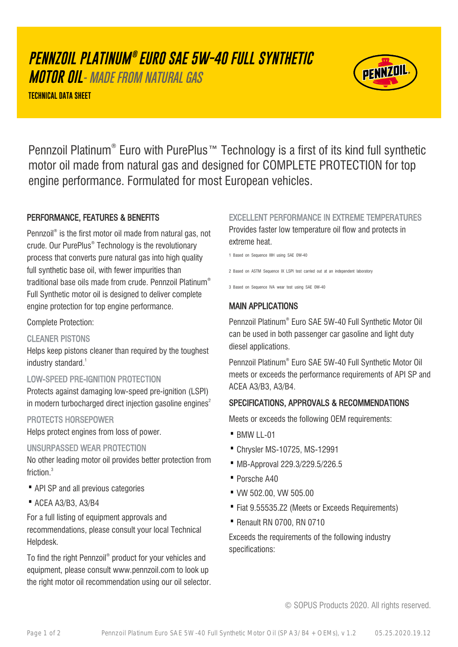# **PENNZOIL PLATINUM ® EURO SAE 5W-40 FULL SYNTHETIC**

**MOTOR OIL**- MADE FROM NATURAL GAS

**TECHNICAL DATA SHEET**



Pennzoil Platinum® Euro with PurePlus™ Technology is a first of its kind full synthetic motor oil made from natural gas and designed for COMPLETE PROTECTION for top engine performance. Formulated for most European vehicles.

# PERFORMANCE, FEATURES & BENEFITS

Pennzoil® is the first motor oil made from natural gas, not crude. Our PurePlus® Technology is the revolutionary process that converts pure natural gas into high quality full synthetic base oil, with fewer impurities than traditional base oils made from crude. Pennzoil Platinum® Full Synthetic motor oil is designed to deliver complete engine protection for top engine performance.

#### Complete Protection:

## CLEANER PISTONS

Helps keep pistons cleaner than required by the toughest industry standard.<sup>1</sup>

## LOW-SPEED PRE-IGNITION PROTECTION

Protects against damaging low-speed pre-ignition (LSPI) in modern turbocharged direct injection gasoline engines $2$ 

## PROTECTS HORSEPOWER

Helps protect engines from loss of power.

## UNSURPASSED WEAR PROTECTION

No other leading motor oil provides better protection from friction.<sup>3</sup>

- · API SP and all previous categories
- · ACEA A3/B3, A3/B4

For a full listing of equipment approvals and recommendations, please consult your local Technical Helpdesk.

To find the right Pennzoil® product for your vehicles and equipment, please consult www.pennzoil.com to look up the right motor oil recommendation using our oil selector. EXCELLENT PERFORMANCE IN EXTREME TEMPERATURES Provides faster low temperature oil flow and protects in extreme heat.

1 Based on Sequence IIIH using SAE 0W-40

2 Based on ASTM Sequence IX LSPI test carried out at an independent laboratory

3 Based on Sequence IVA wear test using SAE 0W-40

# MAIN APPLICATIONS

Pennzoil Platinum® Euro SAE 5W-40 Full Synthetic Motor Oil can be used in both passenger car gasoline and light duty diesel applications.

Pennzoil Platinum® Euro SAE 5W-40 Full Synthetic Motor Oil meets or exceeds the performance requirements of API SP and ACEA A3/B3, A3/B4.

# SPECIFICATIONS, APPROVALS & RECOMMENDATIONS

Meets or exceeds the following OEM requirements:

- $\cdot$  BMW II-01
- · Chrysler MS-10725, MS-12991
- · MB-Approval 229.3/229.5/226.5
- · Porsche A40
- · VW 502.00, VW 505.00
- · Fiat 9.55535.Z2 (Meets or Exceeds Requirements)
- · Renault RN 0700, RN 0710

Exceeds the requirements of the following industry specifications:

© SOPUS Products 2020. All rights reserved.